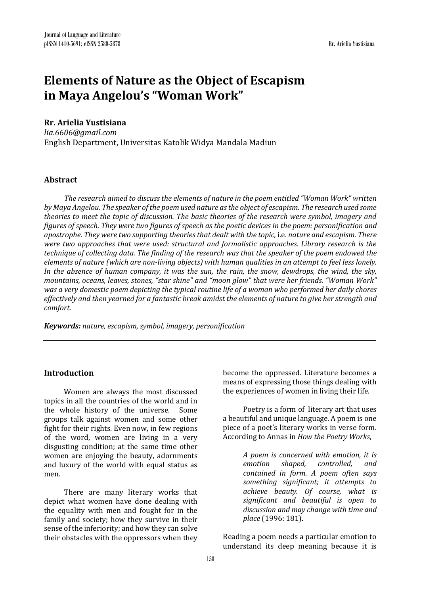#### **Rr. Arielia Yustisiana**

*[lia.6606@gmail.com](mailto:lia.6606@gmail.com)* English Department, Universitas Katolik Widya Mandala Madiun

### **Abstract**

*The research aimed to discuss the elements of nature in the poem entitled "Woman Work" written by Maya Angelou. The speaker of the poem used nature as the object of escapism. The research used some theories to meet the topic of discussion. The basic theories of the research were symbol, imagery and figures of speech. They were two figures of speech as the poetic devices in the poem: personification and apostrophe. They were two supporting theories that dealt with the topic,* i.e. *nature and escapism. There were two approaches that were used: structural and formalistic approaches. Library research is the technique of collecting data. The finding of the research was that the speaker of the poem endowed the elements of nature (which are non-living objects) with human qualities in an attempt to feel less lonely. In the absence of human company, it was the sun, the rain, the snow, dewdrops, the wind, the sky, mountains, oceans, leaves, stones, "star shine" and "moon glow" that were her friends. "Woman Work" was a very domestic poem depicting the typical routine life of a woman who performed her daily chores effectively and then yearned for a fantastic break amidst the elements of nature to give her strength and comfort.*

*Keywords: nature, escapism, symbol, imagery, personification*

# **Introduction**

Women are always the most discussed topics in all the countries of the world and in the whole history of the universe. Some groups talk against women and some other fight for their rights. Even now, in few regions of the word, women are living in a very disgusting condition; at the same time other women are enjoying the beauty, adornments and luxury of the world with equal status as men.

There are many literary works that depict what women have done dealing with the equality with men and fought for in the family and society; how they survive in their sense of the inferiority; and how they can solve their obstacles with the oppressors when they

become the oppressed. Literature becomes a means of expressing those things dealing with the experiences of women in living their life.

Poetry is a form of literary art that uses a beautiful and unique language. A poem is one piece of a poet's literary works in verse form. According to Annas in *How the Poetry Works*,

> *A poem is concerned with emotion, it is emotion shaped, controlled, and contained in form. A poem often says something significant; it attempts to achieve beauty. Of course, what is significant and beautiful is open to discussion and may change with time and place* (1996: 181).

Reading a poem needs a particular emotion to understand its deep meaning because it is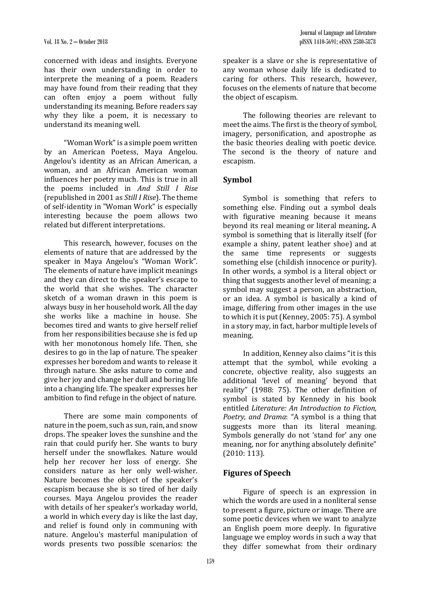concerned with ideas and insights. Everyone has their own understanding in order to interprete the meaning of a poem. Readers may have found from their reading that they can often enjoy a poem without fully understanding its meaning. Before readers say why they like a poem, it is necessary to understand its meaning well.

"Woman Work" is a simple poem written by an American Poetess, Maya Angelou. Angelou's identity as an African American, a woman, and an African American woman influences her poetry much. This is true in all the poems included in *And Still I Rise* (republished in 2001 as *Still I Rise*). The theme of self-identity in "Woman Work" is especially interesting because the poem allows two related but different interpretations.

This research, however, focuses on the elements of nature that are addressed by the speaker in Maya Angelou's "Woman Work". The elements of nature have implicit meanings and they can direct to the speaker's escape to the world that she wishes. The character sketch of a woman drawn in this poem is always busy in her household work. All the day she works like a machine in house. She becomes tired and wants to give herself relief from her responsibilities because she is fed up with her monotonous homely life. Then, she desires to go in the lap of nature. The speaker expresses her boredom and wants to release it through nature. She asks nature to come and give her joy and change her dull and boring life into a changing life. The speaker expresses her ambition to find refuge in the object of nature.

There are some main components of nature in the poem, such as sun, rain, and snow drops. The speaker loves the sunshine and the rain that could purify her. She wants to bury herself under the snowflakes. Nature would help her recover her loss of energy. She considers nature as her only well-wisher. Nature becomes the object of the speaker's escapism because she is so tired of her daily courses. Maya Angelou provides the reader with details of her speaker's workaday world, a world in which every day is like the last day, and relief is found only in communing with nature. Angelou's masterful manipulation of words presents two possible scenarios: the

speaker is a slave or she is representative of any woman whose daily life is dedicated to caring for others. This research, however, focuses on the elements of nature that become the object of escapism.

The following theories are relevant to meet the aims. The first is the theory of symbol, imagery, personification, and apostrophe as the basic theories dealing with poetic device. The second is the theory of nature and escapism.

### **Symbol**

Symbol is something that refers to something else. Finding out a symbol deals with figurative meaning because it means beyond its real meaning or literal meaning**.** A symbol is something that is literally itself (for example a shiny, patent leather shoe) and at the same time represents or suggests something else (childish innocence or purity). In other words, a symbol is a literal object or thing that suggests another level of meaning; a symbol may suggest a person, an abstraction, or an idea. A symbol is basically a kind of image, differing from other images in the use to which it is put (Kenney, 2005: 75). A symbol in a story may, in fact, harbor multiple levels of meaning.

In addition, Kenney also claims "it is this attempt that the symbol, while evoking a concrete, objective reality, also suggests an additional 'level of meaning' beyond that reality" (1988: 75). The other definition of symbol is stated by Kennedy in his book entitled *Literature: An Introduction to Fiction, Poetry, and Drama*: "A symbol is a thing that suggests more than its literal meaning. Symbols generally do not 'stand for' any one meaning, nor for anything absolutely definite" (2010: 113).

# **Figures of Speech**

Figure of speech is an expression in which the words are used in a nonliteral sense to present a figure, picture or image. There are some poetic devices when we want to analyze an English poem more deeply. In figurative language we employ words in such a way that they differ somewhat from their ordinary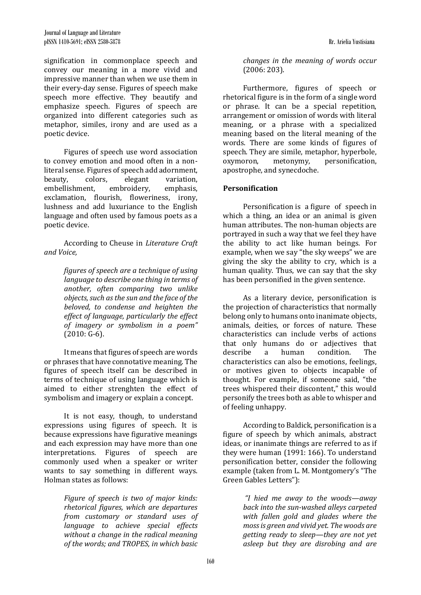signification in commonplace speech and convey our meaning in a more vivid and impressive manner than when we use them in their every-day sense. Figures of speech make speech more effective. They beautify and emphasize speech. Figures of speech are organized into different categories such as metaphor, similes, irony and are used as a poetic device.

Figures of speech use word association to convey emotion and mood often in a nonliteral sense. Figures of speech add adornment, beauty, colors, elegant variation, embellishment, embroidery, emphasis, exclamation, flourish, floweriness, irony, lushness and add luxuriance to the English language and often used by famous poets as a poetic device.

According to Cheuse in *Literature Craft and Voice,* 

> *figures of speech are a technique of using language to describe one thing in terms of another, often comparing two unlike objects, such as the sun and the face of the beloved, to condense and heighten the effect of language, particularly the effect of imagery or symbolism in a poem"* (2010: G-6).

It means that figures of speech are words or phrases that have connotative meaning. The figures of speech itself can be described in terms of technique of using language which is aimed to either strenghten the effect of symbolism and imagery or explain a concept.

It is not easy, though, to understand expressions using figures of speech. It is because expressions have figurative meanings and each expression may have more than one interpretations. Figures of speech are commonly used when a speaker or writer wants to say something in different ways. Holman states as follows:

> *Figure of speech is two of major kinds: rhetorical figures, which are departures from customary or standard uses of language to achieve special effects without a change in the radical meaning of the words; and TROPES, in which basic*

*changes in the meaning of words occur* (2006: 203).

Furthermore, figures of speech or rhetorical figure is in the form of a single word or phrase. It can be a special repetition, arrangement or omission of words with literal meaning, or a phrase with a specialized meaning based on the literal meaning of the words. There are some kinds of figures of speech. They are simile, metaphor, hyperbole, oxymoron, metonymy, personification, apostrophe, and synecdoche.

# **Personification**

Personification is a figure of speech in which a thing, an idea or an animal is given human attributes. The non-human objects are portrayed in such a way that we feel they have the ability to act like human beings. For example, when we say "the sky weeps" we are giving the sky the ability to cry, which is a human quality. Thus, we can say that the sky has been personified in the given sentence.

As a literary device, personification is the projection of characteristics that normally belong only to humans onto inanimate objects, animals, deities, or forces of nature. These characteristics can include verbs of actions that only humans do or adjectives that describe a human condition. The characteristics can also be emotions, feelings, or motives given to objects incapable of thought. For example, if someone said, "the trees whispered their discontent," this would personify the trees both as able to whisper and of feeling unhappy.

According to Baldick, personification is a figure of speech by which animals, abstract ideas, or inanimate things are referred to as if they were human (1991: 166). To understand personification better, consider the following example (taken from L. M. Montgomery's "The Green Gables Letters"):

> *"I hied me away to the woods—away back into the sun-washed alleys carpeted with fallen gold and glades where the moss is green and vivid yet. The woods are getting ready to sleep—they are not yet asleep but they are disrobing and are*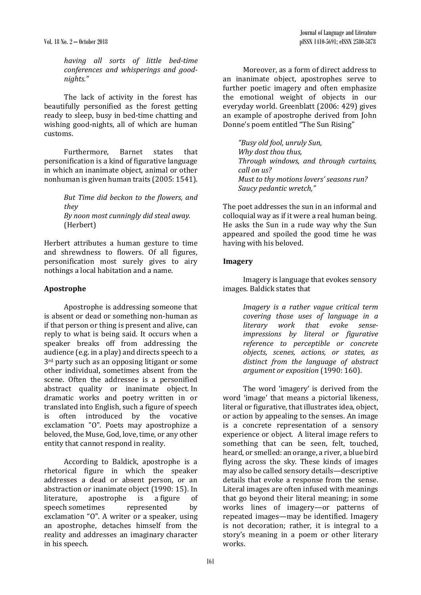*having all sorts of little bed-time conferences and whisperings and goodnights."*

The lack of activity in the forest has beautifully personified as the forest getting ready to sleep, busy in bed-time chatting and wishing good-nights, all of which are human customs.

Furthermore, Barnet states that personification is a kind of figurative language in which an inanimate object, animal or other nonhuman is given human traits (2005: 1541).

> *But Time did beckon to the flowers, and they By noon most cunningly did steal away.* (Herbert)

Herbert attributes a human gesture to time and shrewdness to flowers. Of all figures, personification most surely gives to airy nothings a local habitation and a name.

# **Apostrophe**

Apostrophe is addressing someone that is absent or dead or something non-human as if that person or thing is present and alive, can reply to what is being said. It occurs when a speaker breaks off from addressing the audience (e.g. in a play) and directs speech to a  $3<sup>rd</sup>$  party such as an opposing litigant or some other individual, sometimes absent from the scene. Often the addressee is a personified abstract quality or inanimate object. In dramatic works and poetry written in or translated into English, such a figure of speech is often introduced by the vocative exclamation "O". Poets may apostrophize a beloved, the Muse, God, love, time, or any other entity that cannot respond in reality.

According to Baldick, apostrophe is a rhetorical figure in which the speaker addresses a dead or absent person, or an abstraction or inanimate object (1990: 15). In literature, apostrophe is a figure of speech sometimes represented by exclamation "O". A writer or a speaker, using an apostrophe, detaches himself from the reality and addresses an imaginary character in his speech.

Moreover, as a form of direct address to an inanimate object, apostrophes serve to further poetic imagery and often emphasize the emotional weight of objects in our everyday world. Greenblatt (2006: 429) gives an example of apostrophe derived from John Donne's poem entitled "The Sun Rising"

*"Busy old fool, unruly Sun, Why dost thou thus, Through windows, and through curtains, call on us? Must to thy motions lovers' seasons run? Saucy pedantic wretch,"*

The poet addresses the sun in an informal and colloquial way as if it were a real human being. He asks the Sun in a rude way why the Sun appeared and spoiled the good time he was having with his beloved.

### **Imagery**

Imagery is language that evokes sensory images. Baldick states that

> *Imagery is a rather vague critical term covering those uses of language in a literary work that evoke senseimpressions by literal or figurative reference to perceptible or concrete objects, scenes, actions, or states, as distinct from the language of abstract argument or exposition* (1990: 160).

The word 'imagery' is derived from the word 'image' that means a pictorial likeness, literal or figurative, that illustrates idea, object, or action by appealing to the senses. An image is a concrete representation of a sensory experience or object. A literal image refers to something that can be seen, felt, touched, heard, or smelled: an orange, a river, a blue bird flying across the sky. These kinds of images may also be called sensory details—descriptive details that evoke a response from the sense. Literal images are often infused with meanings that go beyond their literal meaning; in some works lines of imagery—or patterns of repeated images—may be identified. Imagery is not decoration; rather, it is integral to a story's meaning in a poem or other literary works.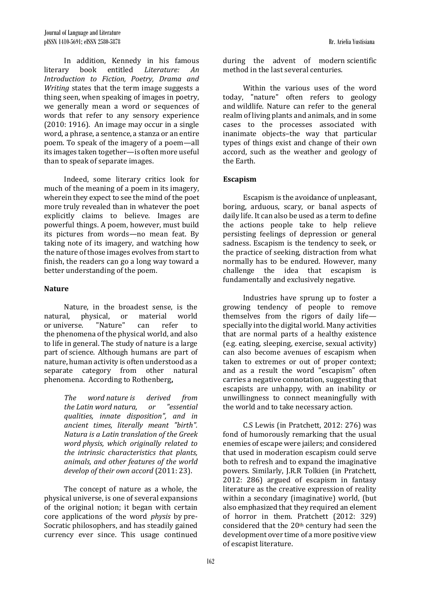In addition, Kennedy in his famous literary book entitled *Literature: An Introduction to Fiction, Poetry, Drama and Writing* states that the term image suggests a thing seen, when speaking of images in poetry, we generally mean a word or sequences of words that refer to any sensory experience (2010: 1916). An image may occur in a single word, a phrase, a sentence, a stanza or an entire poem. To speak of the imagery of a poem—all its images taken together—is often more useful than to speak of separate images.

Indeed, some literary critics look for much of the meaning of a poem in its imagery, wherein they expect to see the mind of the poet more truly revealed than in whatever the poet explicitly claims to believe. Images are powerful things. A poem, however, must build its pictures from words—no mean feat. By taking note of its imagery, and watching how the nature of those images evolves from start to finish, the readers can go a long way toward a better understanding of the poem.

#### **Nature**

Nature, in the broadest sense, is the natural, physical, or material world or universe. "Nature" can refer to the phenomena of the physical world, and also to life in general. The study of nature is a large part of science. Although humans are part of nature, human activity is often understood as a separate category from other natural phenomena. According to Rothenberg**,** 

> *The word nature is derived from the Latin word natura, or "essential qualities, innate disposition", and in ancient times, literally meant "birth". Natura is a Latin translation of the Greek word physis, which originally related to the intrinsic characteristics that plants, animals, and other features of the world develop of their own accord* (2011: 23).

The concept of nature as a whole, the physical universe, is one of several expansions of the original notion; it began with certain core applications of the word *physis* by pre-Socratic philosophers, and has steadily gained currency ever since. This usage continued

during the advent of modern scientific method in the last several centuries.

Within the various uses of the word today, "nature" often refers to geology and wildlife. Nature can refer to the general realm of living plants and animals, and in some cases to the processes associated with inanimate objects–the way that particular types of things exist and change of their own accord, such as the weather and geology of the Earth.

### **Escapism**

Escapism is the avoidance of unpleasant, boring, arduous, scary, or banal aspects of daily life. It can also be used as a term to define the actions people take to help relieve persisting feelings of depression or general sadness. Escapism is the tendency to seek, or the practice of seeking, distraction from what normally has to be endured. However, many challenge the idea that escapism is fundamentally and exclusively negative.

Industries have sprung up to foster a growing tendency of people to remove themselves from the rigors of daily life specially into the digital world. Many activities that are normal parts of a healthy existence (e.g. eating, sleeping, exercise, sexual activity) can also become avenues of escapism when taken to extremes or out of proper context; and as a result the word "escapism" often carries a negative connotation, suggesting that escapists are unhappy, with an inability or unwillingness to connect meaningfully with the world and to take necessary action.

C.S Lewis (in Pratchett, 2012: 276) was fond of humorously remarking that the usual enemies of escape were jailers; and considered that used in moderation escapism could serve both to refresh and to expand the imaginative powers. Similarly, J.R.R Tolkien (in Pratchett, 2012: 286) argued of escapism in fantasy literature as the creative expression of reality within a secondary (imaginative) world, (but also emphasized that they required an element of horror in them. Pratchett (2012: 329) considered that the 20th century had seen the development over time of a more positive view of escapist literature.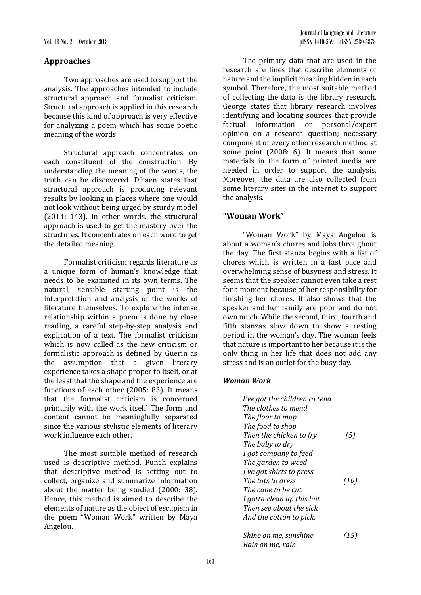# **Approaches**

Two approaches are used to support the analysis. The approaches intended to include structural approach and formalist criticism. Structural approach is applied in this research because this kind of approach is very effective for analyzing a poem which has some poetic meaning of the words.

Structural approach concentrates on each constituent of the construction. By understanding the meaning of the words, the truth can be discovered. D'haen states that structural approach is producing relevant results by looking in places where one would not look without being urged by sturdy model (2014: 143). In other words, the structural approach is used to get the mastery over the structures. It concentrates on each word to get the detailed meaning.

Formalist criticism regards literature as a unique form of human's knowledge that needs to be examined in its own terms. The natural, sensible starting point is the interpretation and analysis of the works of literature themselves. To explore the intense relationship within a poem is done by close reading, a careful step-by-step analysis and explication of a text. The formalist criticism which is now called as the new criticism or formalistic approach is defined by Guerin as the assumption that a given literary experience takes a shape proper to itself, or at the least that the shape and the experience are functions of each other (2005: 83). It means that the formalist criticism is concerned primarily with the work itself. The form and content cannot be meaningfully separated since the various stylistic elements of literary work influence each other.

The most suitable method of research used is descriptive method. Punch explains that descriptive method is setting out to collect, organize and summarize information about the matter being studied (2000: 38). Hence, this method is aimed to describe the elements of nature as the object of escapism in the poem "Woman Work" written by Maya Angelou.

The primary data that are used in the research are lines that describe elements of nature and the implicit meaning hidden in each symbol. Therefore, the most suitable method of collecting the data is the library research. George states that library research involves identifying and locating sources that provide factual information or personal/expert opinion on a research question; necessary component of every other research method at some point (2008: 6). It means that some materials in the form of printed media are needed in order to support the analysis. Moreover, the data are also collected from some literary sites in the internet to support the analysis.

# **"Woman Work"**

"Woman Work" by Maya Angelou is about a woman's chores and jobs throughout the day. The first stanza begins with a list of chores which is written in a fast pace and overwhelming sense of busyness and stress. It seems that the speaker cannot even take a rest for a moment because of her responsibility for finishing her chores. It also shows that the speaker and her family are poor and do not own much. While the second, third, fourth and fifth stanzas slow down to show a resting period in the woman's day. The woman feels that nature is important to her because it is the only thing in her life that does not add any stress and is an outlet for the busy day.

# *[Woman Work](https://allpoetry.com/Woman-Work)*

| I've got the children to tend<br>The clothes to mend |      |
|------------------------------------------------------|------|
| The floor to mop                                     |      |
| The food to shop                                     |      |
| Then the chicken to fry                              | (5)  |
| The baby to dry                                      |      |
| I got company to feed                                |      |
| The garden to weed                                   |      |
| I've got shirts to press                             |      |
| The tots to dress                                    | (10) |
| The cane to be cut                                   |      |
| I gotta clean up this hut                            |      |
| Then see about the sick                              |      |
| And the cotton to pick.                              |      |
| Shine on me, sunshine                                | 115  |
| Rain on me, rain                                     |      |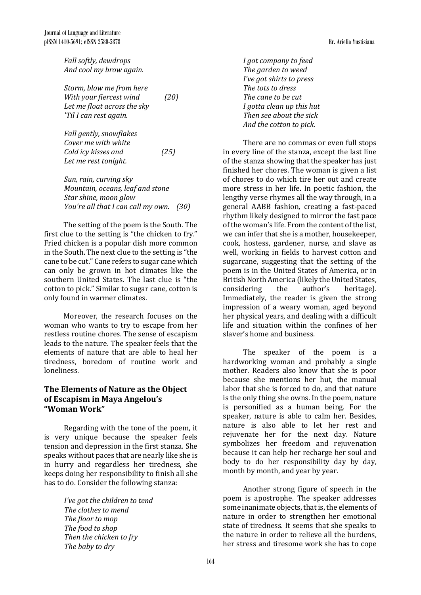*Fall softly, dewdrops And cool my brow again.*

*Storm, blow me from here With your fiercest wind (20) Let me float across the sky 'Til I can rest again.*

*Fall gently, snowflakes Cover me with white Cold icy kisses and (25) Let me rest tonight.*

*Sun, rain, curving sky Mountain, oceans, leaf and stone Star shine, moon glow You're all that I can call my own. (30)*

The setting of the poem is the South. The first clue to the setting is "the chicken to fry." Fried chicken is a popular dish more common in the South. The next clue to the setting is "the cane to be cut." Cane refers to sugar cane which can only be grown in hot climates like the southern United States. The last clue is "the cotton to pick." Similar to sugar cane, cotton is only found in warmer climates.

Moreover, the research focuses on the woman who wants to try to escape from her restless routine chores. The sense of escapism leads to the nature. The speaker feels that the elements of nature that are able to heal her tiredness, boredom of routine work and loneliness.

# **The Elements of Nature as the Object of Escapism in Maya Angelou's "Woman Work"**

Regarding with the tone of the poem, it is very unique because the speaker feels tension and depression in the first stanza. She speaks without paces that are nearly like she is in hurry and regardless her tiredness, she keeps doing her responsibility to finish all she has to do. Consider the following stanza:

> *I've got the children to tend The clothes to mend The floor to mop The food to shop Then the chicken to fry The baby to dry*

*I got company to feed The garden to weed I've got shirts to press The tots to dress The cane to be cut I gotta clean up this hut Then see about the sick And the cotton to pick.* 

There are no commas or even full stops in every line of the stanza, except the last line of the stanza showing that the speaker has just finished her chores. The woman is given a list of chores to do which tire her out and create more stress in her life. In poetic fashion, the lengthy verse rhymes all the way through, in a general AABB fashion, creating a fast-paced rhythm likely designed to mirror the fast pace of the woman's life. From the content of the list. we can infer that she is a mother, housekeeper, cook, hostess, gardener, nurse, and slave as well, working in fields to harvest cotton and sugarcane, suggesting that the setting of the poem is in the United States of America, or in British North America (likely the United States, considering the author's heritage). Immediately, the reader is given the strong impression of a weary woman, aged beyond her physical years, and dealing with a difficult life and situation within the confines of her slaver's home and business.

The speaker of the poem is a hardworking woman and probably a single mother. Readers also know that she is poor because she mentions her hut, the manual labor that she is forced to do, and that nature is the only thing she owns. In the poem, nature is personified as a human being. For the speaker, nature is able to calm her. Besides, nature is also able to let her rest and rejuvenate her for the next day. Nature symbolizes her freedom and rejuvenation because it can help her recharge her soul and body to do her responsibility day by day, month by month, and year by year.

Another strong figure of speech in the poem is apostrophe. The speaker addresses some inanimate objects, that is, the elements of nature in order to strengthen her emotional state of tiredness. It seems that she speaks to the nature in order to relieve all the burdens, her stress and tiresome work she has to cope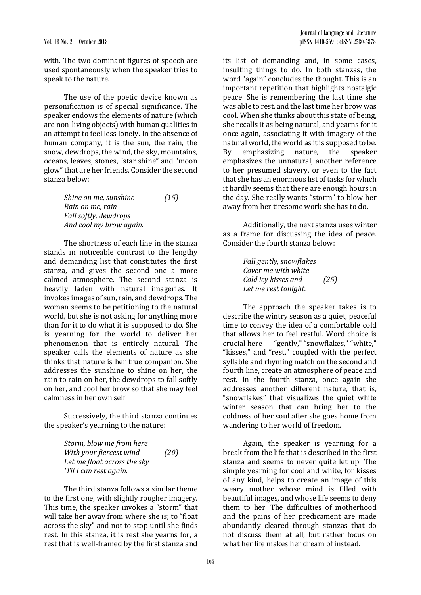with. The two dominant figures of speech are used spontaneously when the speaker tries to speak to the nature.

The use of the poetic device known as personification is of special significance. The speaker endows the elements of nature (which are non-living objects) with human qualities in an attempt to feel less lonely. In the absence of human company, it is the sun, the rain, the snow, dewdrops, the wind, the sky, mountains, oceans, leaves, stones, "star shine" and "moon glow" that are her friends. Consider the second stanza below:

> *Shine on me, sunshine (15) Rain on me, rain Fall softly, dewdrops And cool my brow again.*

The shortness of each line in the stanza stands in noticeable contrast to the lengthy and demanding list that constitutes the first stanza, and gives the second one a more calmed atmosphere. The second stanza is heavily laden with natural imageries. It invokes images of sun, rain, and dewdrops. The woman seems to be petitioning to the natural world, but she is not asking for anything more than for it to do what it is supposed to do. She is yearning for the world to deliver her phenomenon that is entirely natural. The speaker calls the elements of nature as she thinks that nature is her true companion. She addresses the sunshine to shine on her, the rain to rain on her, the dewdrops to fall softly on her, and cool her brow so that she may feel calmness in her own self.

Successively, the third stanza continues the speaker's yearning to the nature:

> *Storm, blow me from here With your fiercest wind (20) Let me float across the sky 'Til I can rest again.*

The third stanza follows a similar theme to the first one, with slightly rougher imagery. This time, the speaker invokes a "storm" that will take her away from where she is; to "float across the sky" and not to stop until she finds rest. In this stanza, it is rest she yearns for, a rest that is well-framed by the first stanza and

its list of demanding and, in some cases, insulting things to do. In both stanzas, the word "again" concludes the thought. This is an important repetition that highlights nostalgic peace. She is remembering the last time she was able to rest, and the last time her brow was cool. When she thinks about this state of being, she recalls it as being natural, and yearns for it once again, associating it with imagery of the natural world, the world as it is supposed to be. By emphasizing nature, the speaker emphasizes the unnatural, another reference to her presumed slavery, or even to the fact that she has an enormous list of tasks for which it hardly seems that there are enough hours in the day. She really wants "storm" to blow her away from her tiresome work she has to do.

Additionally, the next stanza uses winter as a frame for discussing the idea of peace. Consider the fourth stanza below:

> *Fall gently, snowflakes Cover me with white Cold icy kisses and (25) Let me rest tonight.*

The approach the speaker takes is to describe the wintry season as a quiet, peaceful time to convey the idea of a comfortable cold that allows her to feel restful. Word choice is crucial here — "gently," "snowflakes," "white," "kisses," and "rest," coupled with the perfect syllable and rhyming match on the second and fourth line, create an atmosphere of peace and rest. In the fourth stanza, once again she addresses another different nature, that is, "snowflakes" that visualizes the quiet white winter season that can bring her to the coldness of her soul after she goes home from wandering to her world of freedom.

Again, the speaker is yearning for a break from the life that is described in the first stanza and seems to never quite let up. The simple yearning for cool and white, for kisses of any kind, helps to create an image of this weary mother whose mind is filled with beautiful images, and whose life seems to deny them to her. The difficulties of motherhood and the pains of her predicament are made abundantly cleared through stanzas that do not discuss them at all, but rather focus on what her life makes her dream of instead.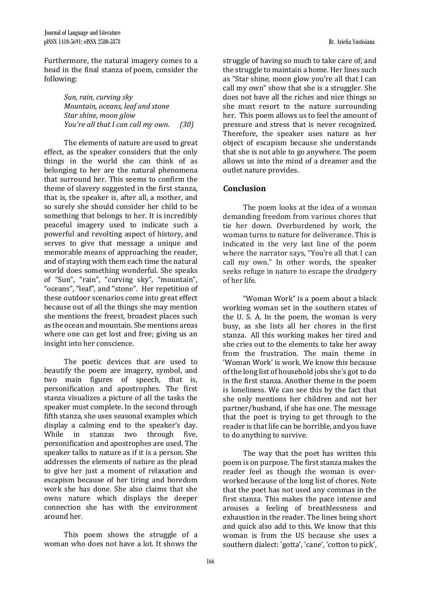Furthermore, the natural imagery comes to a head in the final stanza of poem, consider the following:

> *Sun, rain, curving sky Mountain, oceans, leaf and stone Star shine, moon glow You're all that I can call my own. (30)*

The elements of nature are used to great effect, as the speaker considers that the only things in the world she can think of as belonging to her are the natural phenomena that surround her. This seems to confirm the theme of slavery suggested in the first stanza, that is, the speaker is, after all, a mother, and so surely she should consider her child to be something that belongs to her. It is incredibly peaceful imagery used to indicate such a powerful and revolting aspect of history, and serves to give that message a unique and memorable means of approaching the reader, and of staying with them each time the natural world does something wonderful. She speaks of "Sun", "rain", "curving sky", "mountain", "oceans", "leaf", and "stone". Her repetition of these outdoor scenarios come into great effect because out of all the things she may mention she mentions the freest, broadest places such as the ocean and mountain. She mentions areas where one can get lost and free; giving us an insight into her conscience.

The poetic devices that are used to beautify the poem are imagery, symbol, and two main figures of speech, that is, personification and apostrophes. The first stanza visualizes a picture of all the tasks the speaker must complete. In the second through fifth stanza, she uses seasonal examples which display a calming end to the speaker's day. While in stanzas two through five, personification and apostrophes are used. The speaker talks to nature as if it is a person. She addresses the elements of nature as the plead to give her just a moment of relaxation and escapism because of her tiring and boredom work she has done. She also claims that she owns nature which displays the deeper connection she has with the environment around her.

This poem shows the struggle of a woman who does not have a lot. It shows the struggle of having so much to take care of; and the struggle to maintain a home. Her lines such as "Star shine, moon glow you're all that I can call my own" show that she is a struggler. She does not have all the riches and nice things so she must resort to the nature surrounding her. This poem allows us to feel the amount of pressure and stress that is never recognized. Therefore, the speaker uses nature as her object of escapism because she understands that she is not able to go anywhere. The poem allows us into the mind of a dreamer and the outlet nature provides.

### **Conclusion**

The poem looks at the idea of a woman demanding freedom from various chores that tie her down. Overburdened by work, the woman turns to nature for deliverance. This is indicated in the very last line of the poem where the narrator says, "You're all that I can call my own." In other words, the speaker seeks refuge in nature to escape the drudgery of her life.

"Woman Work" is a poem about a black working woman set in the southern states of the U. S. A. In the poem, the woman is very busy, as she lists all her chores in the first stanza. All this working makes her tired and she cries out to the elements to take her away from the frustration. The main theme in 'Woman Work' is work. We know this because of the long list of household jobs she's got to do in the first stanza. Another theme in the poem is loneliness. We can see this by the fact that she only mentions her children and not her partner/husband, if she has one. The message that the poet is trying to get through to the reader is that life can be horrible, and you have to do anything to survive.

The way that the poet has written this poem is on purpose. The first stanza makes the reader feel as though the woman is overworked because of the long list of chores. Note that the poet has not used any commas in the first stanza. This makes the pace intense and arouses a feeling of breathlessness and exhaustion in the reader. The lines being short and quick also add to this. We know that this woman is from the US because she uses a southern dialect: 'gotta', 'cane', 'cotton to pick',